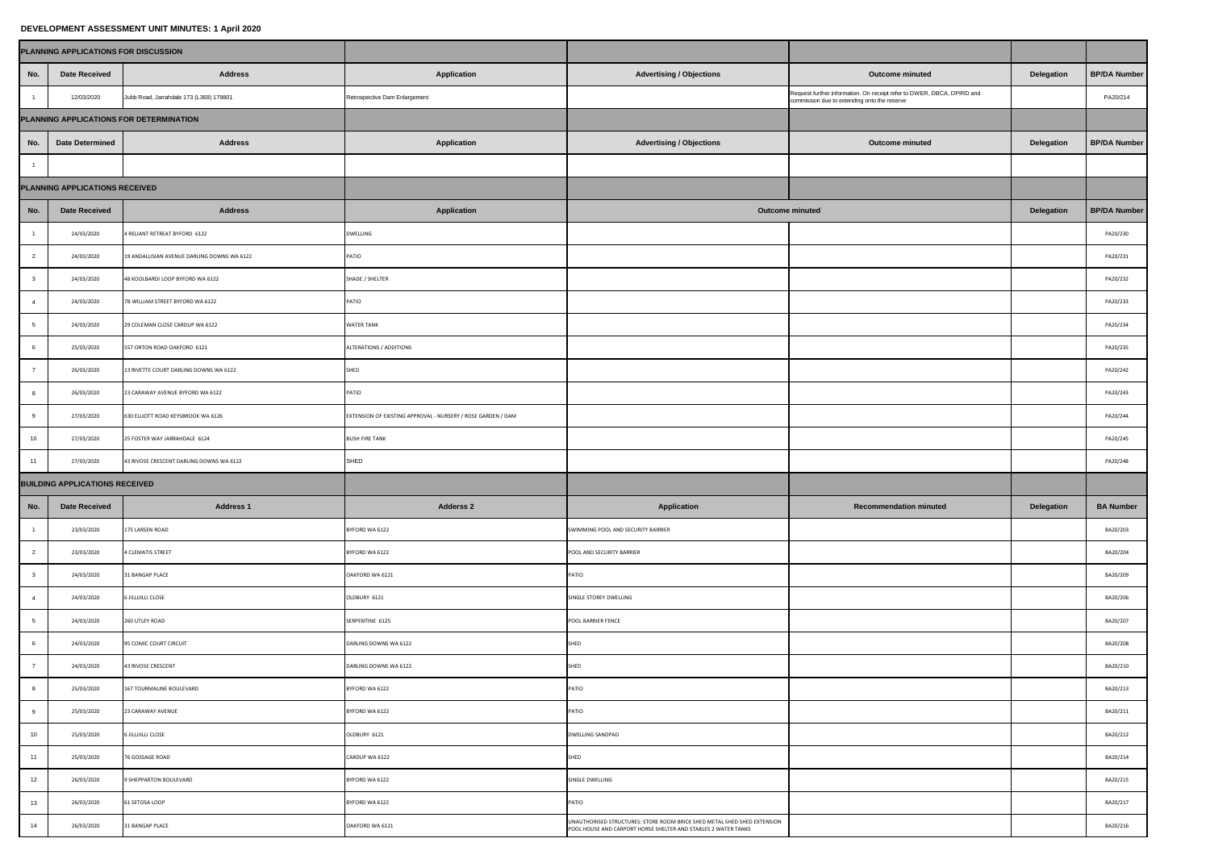## **DEVELOPMENT ASSESSMENT UNIT MINUTES: 1 April 2020**

| PLANNING APPLICATIONS FOR DISCUSSION    |                                       |                                            |                                                              |                                                                                                                                            |                                                                                                                        |                   |                     |  |  |  |  |  |
|-----------------------------------------|---------------------------------------|--------------------------------------------|--------------------------------------------------------------|--------------------------------------------------------------------------------------------------------------------------------------------|------------------------------------------------------------------------------------------------------------------------|-------------------|---------------------|--|--|--|--|--|
| No.                                     | <b>Date Received</b>                  | <b>Address</b>                             | <b>Application</b>                                           | <b>Advertising / Objections</b>                                                                                                            | <b>Outcome minuted</b>                                                                                                 | <b>Delegation</b> | <b>BP/DA Number</b> |  |  |  |  |  |
|                                         | 12/03/2020                            | Jubb Road, Jarrahdale 173 (L369) 179801    | Retrospective Dam Enlargement                                |                                                                                                                                            | Request further information. On receipt refer to DWER, DBCA, DPIRD and<br>commission due to extending onto the reserve |                   | PA20/214            |  |  |  |  |  |
| PLANNING APPLICATIONS FOR DETERMINATION |                                       |                                            |                                                              |                                                                                                                                            |                                                                                                                        |                   |                     |  |  |  |  |  |
| No.                                     | <b>Date Determined</b>                | <b>Address</b>                             | <b>Application</b>                                           | <b>Advertising / Objections</b>                                                                                                            | <b>Outcome minuted</b>                                                                                                 | <b>Delegation</b> | <b>BP/DA Number</b> |  |  |  |  |  |
|                                         |                                       |                                            |                                                              |                                                                                                                                            |                                                                                                                        |                   |                     |  |  |  |  |  |
| PLANNING APPLICATIONS RECEIVED          |                                       |                                            |                                                              |                                                                                                                                            |                                                                                                                        |                   |                     |  |  |  |  |  |
| No.                                     | <b>Date Received</b>                  | <b>Address</b>                             | <b>Application</b>                                           | <b>Outcome minuted</b>                                                                                                                     |                                                                                                                        | <b>Delegation</b> | <b>BP/DA Number</b> |  |  |  |  |  |
|                                         | 24/03/2020                            | 4 RELIANT RETREAT BYFORD 6122              | <b>DWELLING</b>                                              |                                                                                                                                            |                                                                                                                        |                   | PA20/230            |  |  |  |  |  |
|                                         | 24/03/2020                            | 19 ANDALUSIAN AVENUE DARLING DOWNS WA 6122 | <b>PATIO</b>                                                 |                                                                                                                                            |                                                                                                                        |                   | PA20/231            |  |  |  |  |  |
|                                         | 24/03/2020                            | 48 KOOLBARDI LOOP BYFORD WA 6122           | SHADE / SHELTER                                              |                                                                                                                                            |                                                                                                                        |                   | PA20/232            |  |  |  |  |  |
|                                         | 24/03/2020                            | 7B WILLIAM STREET BYFORD WA 6122           | <b>PATIO</b>                                                 |                                                                                                                                            |                                                                                                                        |                   | PA20/233            |  |  |  |  |  |
|                                         | 24/03/2020                            | 29 COLEMAN CLOSE CARDUP WA 6122            | <b>WATER TANK</b>                                            |                                                                                                                                            |                                                                                                                        |                   | PA20/234            |  |  |  |  |  |
|                                         | 25/03/2020                            | 557 ORTON ROAD OAKFORD 6121                | ALTERATIONS / ADDITIONS                                      |                                                                                                                                            |                                                                                                                        |                   | PA20/235            |  |  |  |  |  |
|                                         | 26/03/2020                            | 13 RIVETTE COURT DARLING DOWNS WA 6122     | SHED                                                         |                                                                                                                                            |                                                                                                                        |                   | PA20/242            |  |  |  |  |  |
|                                         | 26/03/2020                            | 23 CARAWAY AVENUE BYFORD WA 6122           | <b>PATIO</b>                                                 |                                                                                                                                            |                                                                                                                        |                   | PA20/243            |  |  |  |  |  |
|                                         | 27/03/2020                            | 630 ELLIOTT ROAD KEYSBROOK WA 6126         | EXTENSION OF EXISTING APPROVAL - NURSERY / ROSE GARDEN / DAM |                                                                                                                                            |                                                                                                                        |                   | PA20/244            |  |  |  |  |  |
| 10                                      | 27/03/2020                            | 25 FOSTER WAY JARRAHDALE 6124              | <b>BUSH FIRE TANK</b>                                        |                                                                                                                                            |                                                                                                                        |                   | PA20/245            |  |  |  |  |  |
| 11                                      | 27/03/2020                            | 43 RIVOSE CRESCENT DARLING DOWNS WA 6122   | SHED                                                         |                                                                                                                                            |                                                                                                                        |                   | PA20/248            |  |  |  |  |  |
|                                         | <b>BUILDING APPLICATIONS RECEIVED</b> |                                            |                                                              |                                                                                                                                            |                                                                                                                        |                   |                     |  |  |  |  |  |
| No.                                     | <b>Date Received</b>                  | <b>Address 1</b>                           | <b>Adderss 2</b>                                             | <b>Application</b>                                                                                                                         | <b>Recommendation minuted</b>                                                                                          | <b>Delegation</b> | <b>BA Number</b>    |  |  |  |  |  |
|                                         | 23/03/2020                            | 175 LARSEN ROAD                            | BYFORD WA 6122                                               | SWIMMING POOL AND SECURITY BARRIER                                                                                                         |                                                                                                                        |                   | BA20/203            |  |  |  |  |  |
|                                         | 23/03/2020                            | 4 CLEMATIS STREET                          | BYFORD WA 6122                                               | POOL AND SECURITY BARRIER                                                                                                                  |                                                                                                                        |                   | BA20/204            |  |  |  |  |  |
|                                         | 24/03/2020                            | 31 BANGAP PLACE                            | OAKFORD WA 6121                                              | PATIO                                                                                                                                      |                                                                                                                        |                   | BA20/209            |  |  |  |  |  |
|                                         | 24/03/2020                            | <b>6 JILLIJILLI CLOSE</b>                  | OLDBURY 6121                                                 | SINGLE STOREY DWELLING                                                                                                                     |                                                                                                                        |                   | BA20/206            |  |  |  |  |  |
|                                         | 24/03/2020                            | 260 UTLEY ROAD                             | SERPENTINE 6125                                              | POOL BARRIER FENCE                                                                                                                         |                                                                                                                        |                   | BA20/207            |  |  |  |  |  |
|                                         | 24/03/2020                            | 95 COMIC COURT CIRCUIT                     | DARLING DOWNS WA 6122                                        | SHED                                                                                                                                       |                                                                                                                        |                   | BA20/208            |  |  |  |  |  |
|                                         | 24/03/2020                            | 43 RIVOSE CRESCENT                         | DARLING DOWNS WA 6122                                        | SHED                                                                                                                                       |                                                                                                                        |                   | BA20/210            |  |  |  |  |  |
|                                         | 25/03/2020                            | 167 TOURMALINE BOULEVARD                   | BYFORD WA 6122                                               | PATIO                                                                                                                                      |                                                                                                                        |                   | BA20/213            |  |  |  |  |  |
|                                         | 25/03/2020                            | 23 CARAWAY AVENUE                          | BYFORD WA 6122                                               | PATIO                                                                                                                                      |                                                                                                                        |                   | BA20/211            |  |  |  |  |  |
| 10                                      | 25/03/2020                            | <b>6 JILLIJILLI CLOSE</b>                  | OLDBURY 6121                                                 | <b>DWELLING SANDPAD</b>                                                                                                                    |                                                                                                                        |                   | BA20/212            |  |  |  |  |  |
| 11                                      | 25/03/2020                            | 76 GOSSAGE ROAD                            | CARDUP WA 6122                                               | SHED                                                                                                                                       |                                                                                                                        |                   | BA20/214            |  |  |  |  |  |
| 12                                      | 26/03/2020                            | 9 SHEPPARTON BOULEVARD                     | BYFORD WA 6122                                               | SINGLE DWELLING                                                                                                                            |                                                                                                                        |                   | BA20/215            |  |  |  |  |  |
| 13                                      | 26/03/2020                            | 61 SETOSA LOOP                             | BYFORD WA 6122                                               | <b>PATIO</b>                                                                                                                               |                                                                                                                        |                   | BA20/217            |  |  |  |  |  |
| 14                                      | 26/03/2020                            | 31 BANGAP PLACE                            | OAKFORD WA 6121                                              | UNAUTHORISED STRUCTURES: STORE ROOM BRICK SHED METAL SHED SHED EXTENSION<br>POOL HOUSE AND CARPORT HORSE SHELTER AND STABLES 2 WATER TANKS |                                                                                                                        |                   | BA20/216            |  |  |  |  |  |